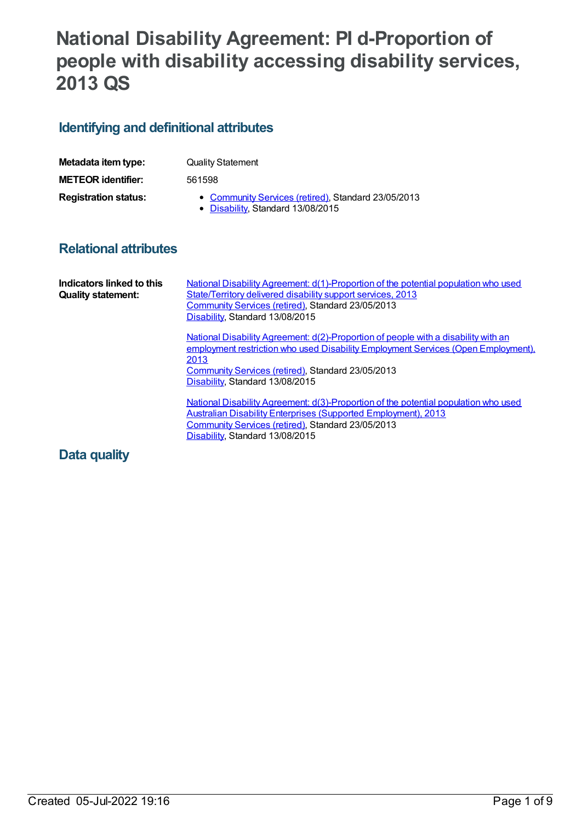# **National Disability Agreement: PI d-Proportion of people with disability accessing disability services, 2013 QS**

# **Identifying and definitional attributes**

| Metadata item type:         | <b>Quality Statement</b>                                                                 |  |  |
|-----------------------------|------------------------------------------------------------------------------------------|--|--|
| <b>METEOR</b> identifier:   | 561598                                                                                   |  |  |
| <b>Registration status:</b> | • Community Services (retired), Standard 23/05/2013<br>• Disability, Standard 13/08/2015 |  |  |

# **Relational attributes**

| Indicators linked to this<br><b>Quality statement:</b> | National Disability Agreement: d(1)-Proportion of the potential population who used<br>State/Territory delivered disability support services, 2013<br>Community Services (retired), Standard 23/05/2013<br>Disability, Standard 13/08/2015                                 |  |  |
|--------------------------------------------------------|----------------------------------------------------------------------------------------------------------------------------------------------------------------------------------------------------------------------------------------------------------------------------|--|--|
|                                                        | National Disability Agreement: $d(2)$ -Proportion of people with a disability with an<br>employment restriction who used Disability Employment Services (Open Employment),<br>2013<br>Community Services (retired), Standard 23/05/2013<br>Disability, Standard 13/08/2015 |  |  |
|                                                        | <u>National Disability Agreement: d(3)-Proportion of the potential population who used</u><br><b>Australian Disability Enterprises (Supported Employment), 2013</b><br>Community Services (retired), Standard 23/05/2013<br>Disability, Standard 13/08/2015                |  |  |

## **Data quality**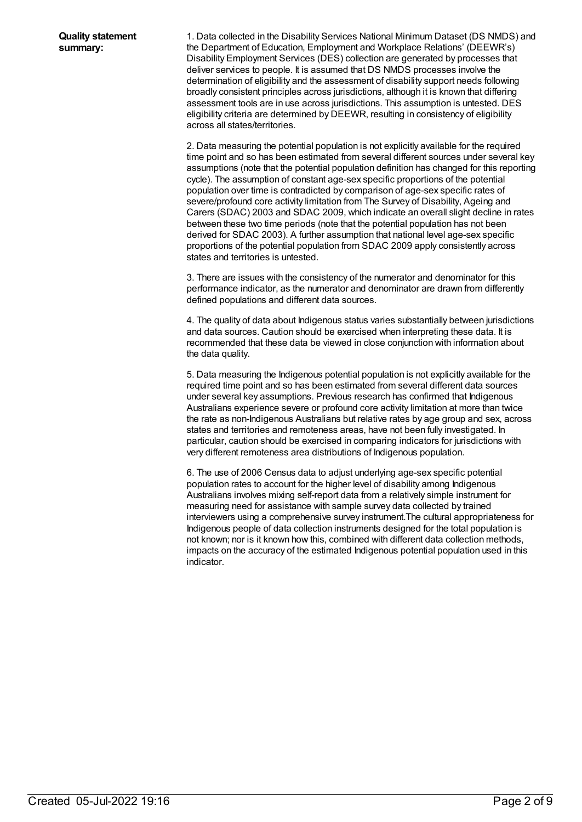1. Data collected in the Disability Services National Minimum Dataset (DS NMDS) and the Department of Education, Employment and Workplace Relations' (DEEWR's) Disability Employment Services (DES) collection are generated by processes that deliver services to people. It is assumed that DS NMDS processes involve the determination of eligibility and the assessment of disability support needs following broadly consistent principles across jurisdictions, although it is known that differing assessment tools are in use across jurisdictions. This assumption is untested. DES eligibility criteria are determined by DEEWR, resulting in consistency of eligibility across all states/territories.

2. Data measuring the potential population is not explicitly available for the required time point and so has been estimated from several different sources under several key assumptions (note that the potential population definition has changed for this reporting cycle). The assumption of constant age-sex specific proportions of the potential population over time is contradicted by comparison of age-sex specific rates of severe/profound core activity limitation from The Survey of Disability, Ageing and Carers (SDAC) 2003 and SDAC 2009, which indicate an overall slight decline in rates between these two time periods (note that the potential population has not been derived for SDAC 2003). A further assumption that national level age-sex specific proportions of the potential population from SDAC 2009 apply consistently across states and territories is untested.

3. There are issues with the consistency of the numerator and denominator for this performance indicator, as the numerator and denominator are drawn from differently defined populations and different data sources.

4. The quality of data about Indigenous status varies substantially between jurisdictions and data sources. Caution should be exercised when interpreting these data. It is recommended that these data be viewed in close conjunction with information about the data quality.

5. Data measuring the Indigenous potential population is not explicitly available for the required time point and so has been estimated from several different data sources under several key assumptions. Previous research has confirmed that Indigenous Australians experience severe or profound core activity limitation at more than twice the rate as non-Indigenous Australians but relative rates by age group and sex, across states and territories and remoteness areas, have not been fully investigated. In particular, caution should be exercised in comparing indicators for jurisdictions with very different remoteness area distributions of Indigenous population.

6. The use of 2006 Census data to adjust underlying age-sex specific potential population rates to account for the higher level of disability among Indigenous Australians involves mixing self-report data from a relatively simple instrument for measuring need for assistance with sample survey data collected by trained interviewers using a comprehensive survey instrument.The cultural appropriateness for Indigenous people of data collection instruments designed for the total population is not known; nor is it known how this, combined with different data collection methods, impacts on the accuracy of the estimated Indigenous potential population used in this indicator.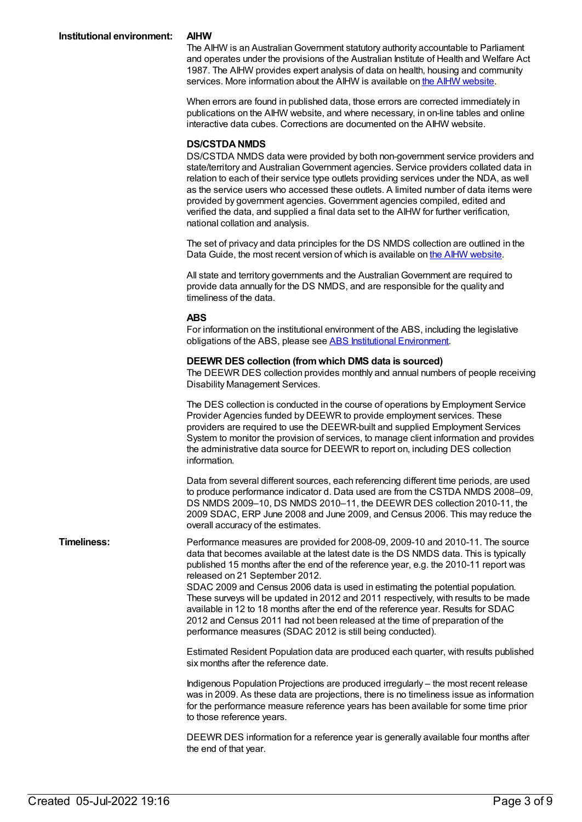The AIHW is an Australian Government statutory authority accountable to Parliament and operates under the provisions of the Australian Institute of Health and Welfare Act 1987. The AIHW provides expert analysis of data on health, housing and community services. More information about the AIHW is available on the AIHW [website](http://www.aihw.gov.au/about/).

When errors are found in published data, those errors are corrected immediately in publications on the AIHW website, and where necessary, in on-line tables and online interactive data cubes. Corrections are documented on the AIHW website.

#### **DS/CSTDANMDS**

DS/CSTDA NMDS data were provided by both non-government service providers and state/territory and AustralianGovernment agencies. Service providers collated data in relation to each of their service type outlets providing services under the NDA, as well as the service users who accessed these outlets. A limited number of data items were provided by government agencies. Government agencies compiled, edited and verified the data, and supplied a final data set to the AIHW for further verification, national collation and analysis.

The set of privacy and data principles for the DS NMDS collection are outlined in the Data Guide, the most recent version of which is available on the AIHW [website](http://www.aihw.gov.au/about/).

All state and territory governments and the AustralianGovernment are required to provide data annually for the DS NMDS, and are responsible for the quality and timeliness of the data.

#### **ABS**

For information on the institutional environment of the ABS, including the legislative obligations of the ABS, please see ABS Institutional [Environment](http://www.abs.gov.au/Websitedbs/d3310114.nsf/4a256353001af3ed4b2562bb00121564/10ca14cb967e5b83ca2573ae00197b65!OpenDocument).

#### **DEEWR DES collection (fromwhich DMS data is sourced)**

The DEEWR DES collection provides monthly and annual numbers of people receiving Disability Management Services.

The DES collection is conducted in the course of operations by Employment Service Provider Agencies funded by DEEWR to provide employment services. These providers are required to use the DEEWR-built and supplied Employment Services System to monitor the provision of services, to manage client information and provides the administrative data source for DEEWR to report on, including DES collection information.

Data from several different sources, each referencing different time periods, are used to produce performance indicator d. Data used are from the CSTDA NMDS 2008–09, DS NMDS 2009–10, DS NMDS 2010–11, the DEEWR DES collection 2010-11, the 2009 SDAC, ERP June 2008 and June 2009, and Census 2006. This may reduce the overall accuracy of the estimates.

**Timeliness:** Performance measures are provided for 2008-09, 2009-10 and 2010-11. The source data that becomes available at the latest date is the DS NMDS data. This is typically published 15 months after the end of the reference year, e.g. the 2010-11 report was released on 21 September 2012. SDAC 2009 and Census 2006 data is used in estimating the potential population. These surveys will be updated in 2012 and 2011 respectively, with results to be made

available in 12 to 18 months after the end of the reference year. Results for SDAC 2012 and Census 2011 had not been released at the time of preparation of the performance measures (SDAC 2012 is still being conducted).

Estimated Resident Population data are produced each quarter, with results published six months after the reference date.

Indigenous Population Projections are produced irregularly – the most recent release was in 2009. As these data are projections, there is no timeliness issue as information for the performance measure reference years has been available for some time prior to those reference years.

DEEWR DES information for a reference year is generally available four months after the end of that year.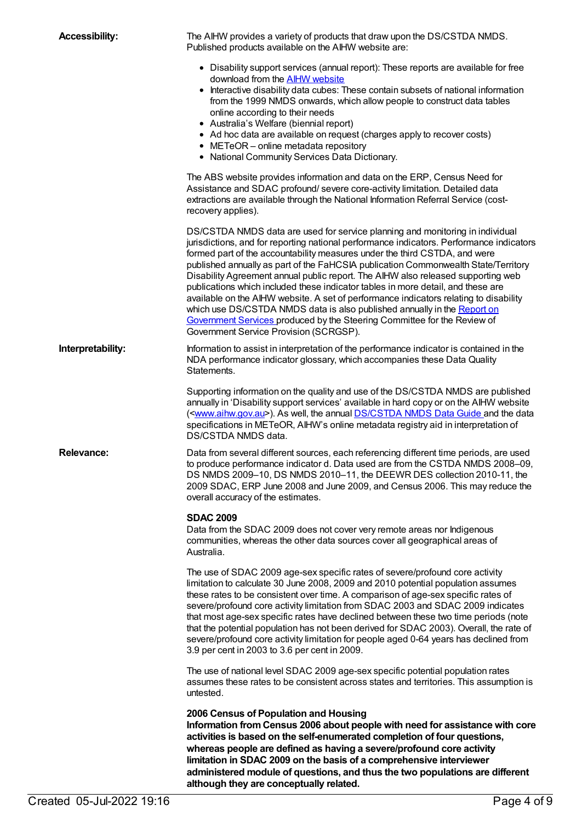| <b>Accessibility:</b> | The AIHW provides a variety of products that draw upon the DS/CSTDA NMDS.<br>Published products available on the AIHW website are:                                                                                                                                                                                                                                                                                                                                                                                                                                                                                                                                                                                                                                                                               |  |  |
|-----------------------|------------------------------------------------------------------------------------------------------------------------------------------------------------------------------------------------------------------------------------------------------------------------------------------------------------------------------------------------------------------------------------------------------------------------------------------------------------------------------------------------------------------------------------------------------------------------------------------------------------------------------------------------------------------------------------------------------------------------------------------------------------------------------------------------------------------|--|--|
|                       | • Disability support services (annual report): These reports are available for free<br>download from the <b>AIHW</b> website<br>• Interactive disability data cubes: These contain subsets of national information<br>from the 1999 NMDS onwards, which allow people to construct data tables<br>online according to their needs<br>• Australia's Welfare (biennial report)<br>• Ad hoc data are available on request (charges apply to recover costs)<br>• METeOR - online metadata repository<br>• National Community Services Data Dictionary.                                                                                                                                                                                                                                                                |  |  |
|                       | The ABS website provides information and data on the ERP, Census Need for<br>Assistance and SDAC profound/ severe core-activity limitation. Detailed data<br>extractions are available through the National Information Referral Service (cost-<br>recovery applies).                                                                                                                                                                                                                                                                                                                                                                                                                                                                                                                                            |  |  |
|                       | DS/CSTDA NMDS data are used for service planning and monitoring in individual<br>jurisdictions, and for reporting national performance indicators. Performance indicators<br>formed part of the accountability measures under the third CSTDA, and were<br>published annually as part of the FaHCSIA publication Commonwealth State/Territory<br>Disability Agreement annual public report. The AIHW also released supporting web<br>publications which included these indicator tables in more detail, and these are<br>available on the AIHW website. A set of performance indicators relating to disability<br>which use DS/CSTDA NMDS data is also published annually in the Report on<br>Government Services produced by the Steering Committee for the Review of<br>Government Service Provision (SCRGSP). |  |  |
| Interpretability:     | Information to assist in interpretation of the performance indicator is contained in the<br>NDA performance indicator glossary, which accompanies these Data Quality<br>Statements.                                                                                                                                                                                                                                                                                                                                                                                                                                                                                                                                                                                                                              |  |  |
|                       | Supporting information on the quality and use of the DS/CSTDA NMDS are published<br>annually in 'Disability support services' available in hard copy or on the AIHW website<br>( <www.aihw.gov.au>). As well, the annual DS/CSTDA NMDS Data Guide and the data<br/>specifications in METeOR, AIHW's online metadata registry aid in interpretation of<br/>DS/CSTDA NMDS data.</www.aihw.gov.au>                                                                                                                                                                                                                                                                                                                                                                                                                  |  |  |
| <b>Relevance:</b>     | Data from several different sources, each referencing different time periods, are used<br>to produce performance indicator d. Data used are from the CSTDA NMDS 2008-09.<br>DS NMDS 2009-10, DS NMDS 2010-11, the DEEWR DES collection 2010-11, the<br>2009 SDAC, ERP June 2008 and June 2009, and Census 2006. This may reduce the<br>overall accuracy of the estimates.                                                                                                                                                                                                                                                                                                                                                                                                                                        |  |  |
|                       | <b>SDAC 2009</b><br>Data from the SDAC 2009 does not cover very remote areas nor Indigenous<br>communities, whereas the other data sources cover all geographical areas of<br>Australia.                                                                                                                                                                                                                                                                                                                                                                                                                                                                                                                                                                                                                         |  |  |
|                       | The use of SDAC 2009 age-sex specific rates of severe/profound core activity<br>limitation to calculate 30 June 2008, 2009 and 2010 potential population assumes<br>these rates to be consistent over time. A comparison of age-sex specific rates of<br>severe/profound core activity limitation from SDAC 2003 and SDAC 2009 indicates<br>that most age-sex specific rates have declined between these two time periods (note<br>that the potential population has not been derived for SDAC 2003). Overall, the rate of<br>severe/profound core activity limitation for people aged 0-64 years has declined from<br>3.9 per cent in 2003 to 3.6 per cent in 2009.                                                                                                                                             |  |  |
|                       | The use of national level SDAC 2009 age-sex specific potential population rates<br>assumes these rates to be consistent across states and territories. This assumption is<br>untested.                                                                                                                                                                                                                                                                                                                                                                                                                                                                                                                                                                                                                           |  |  |
|                       | 2006 Census of Population and Housing<br>Information from Census 2006 about people with need for assistance with core<br>activities is based on the self-enumerated completion of four questions,<br>whereas people are defined as having a severe/profound core activity<br>limitation in SDAC 2009 on the basis of a comprehensive interviewer<br>administered module of questions, and thus the two populations are different<br>although they are conceptually related.                                                                                                                                                                                                                                                                                                                                      |  |  |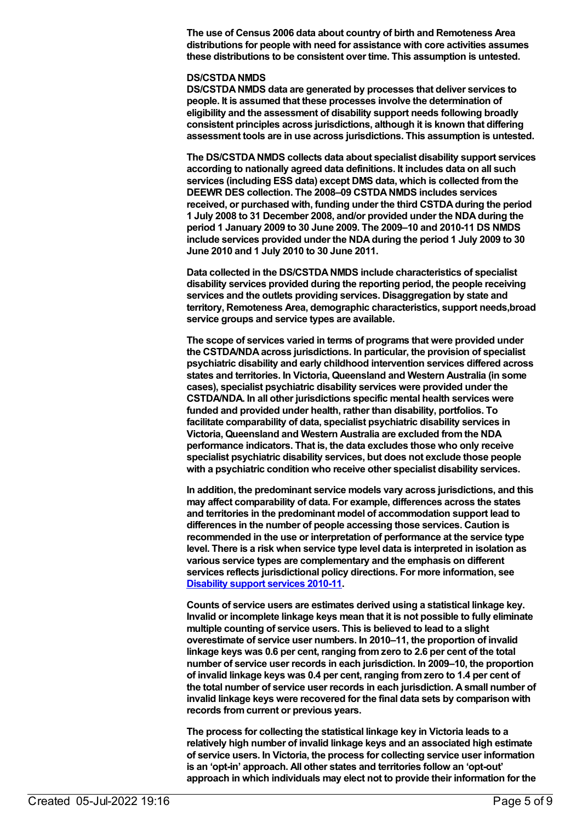**The use of Census 2006 data about country of birth and Remoteness Area distributions for people with need for assistance with core activities assumes these distributions to be consistent over time. This assumption is untested.**

#### **DS/CSTDANMDS**

**DS/CSTDANMDS data are generated by processes that deliver services to people. It is assumed that these processes involve the determination of eligibility and the assessment of disability support needs following broadly consistent principles across jurisdictions, although it is known that differing assessment tools are in use across jurisdictions. This assumption is untested.**

**The DS/CSTDANMDS collects data about specialist disability support services according to nationally agreed data definitions. It includes data on all such services (including ESS data) except DMS data, which is collected fromthe DEEWR DES collection. The 2008–09 CSTDANMDS includes services received, or purchased with, funding under the third CSTDAduring the period 1 July 2008 to 31 December 2008, and/or provided under the NDAduring the period 1 January 2009 to 30 June 2009. The 2009–10 and 2010-11 DS NMDS include services provided under the NDAduring the period 1 July 2009 to 30 June 2010 and 1 July 2010 to 30 June 2011.**

**Data collected in the DS/CSTDANMDS include characteristics of specialist disability services provided during the reporting period, the people receiving services and the outlets providing services. Disaggregation by state and territory, Remoteness Area, demographic characteristics, support needs,broad service groups and service types are available.**

**The scope of services varied in terms of programs that were provided under the CSTDA/NDAacross jurisdictions. In particular, the provision of specialist psychiatric disability and early childhood intervention services differed across states and territories. In Victoria, Queensland and Western Australia (in some cases), specialist psychiatric disability services were provided under the CSTDA/NDA. In all other jurisdictions specific mental health services were funded and provided under health, rather than disability, portfolios. To facilitate comparability of data, specialist psychiatric disability services in Victoria, Queensland and Western Australia are excluded fromthe NDA performance indicators. That is, the data excludes those who only receive specialist psychiatric disability services, but does not exclude those people with a psychiatric condition who receive other specialist disability services.**

**In addition, the predominant service models vary across jurisdictions, and this may affect comparability of data. For example, differences across the states and territories in the predominant model of accommodation support lead to differences in the number of people accessing those services. Caution is recommended in the use or interpretation of performance at the service type level. There is a risk when service type level data is interpreted in isolation as various service types are complementary and the emphasis on different services reflects jurisdictional policy directions. For more information, see [Disability](http://www.aihw.gov.au/disability-publications/) support services 2010-11.**

**Counts of service users are estimates derived using a statistical linkage key. Invalid or incomplete linkage keys mean that it is not possible to fully eliminate multiple counting of service users. This is believed to lead to a slight overestimate of service user numbers. In 2010–11, the proportion of invalid linkage keys was 0.6 per cent, ranging fromzero to 2.6 per cent of the total number of service user records in each jurisdiction. In 2009–10, the proportion of invalid linkage keys was 0.4 per cent, ranging fromzero to 1.4 per cent of the total number of service user records in each jurisdiction. Asmall number of invalid linkage keys were recovered for the final data sets by comparison with records fromcurrent or previous years.**

**The process for collecting the statistical linkage key in Victoria leads to a relatively high number of invalid linkage keys and an associated high estimate of service users. In Victoria, the process for collecting service user information is an 'opt-in' approach. All other states and territories follow an 'opt-out' approach in which individuals may elect not to provide their information for the**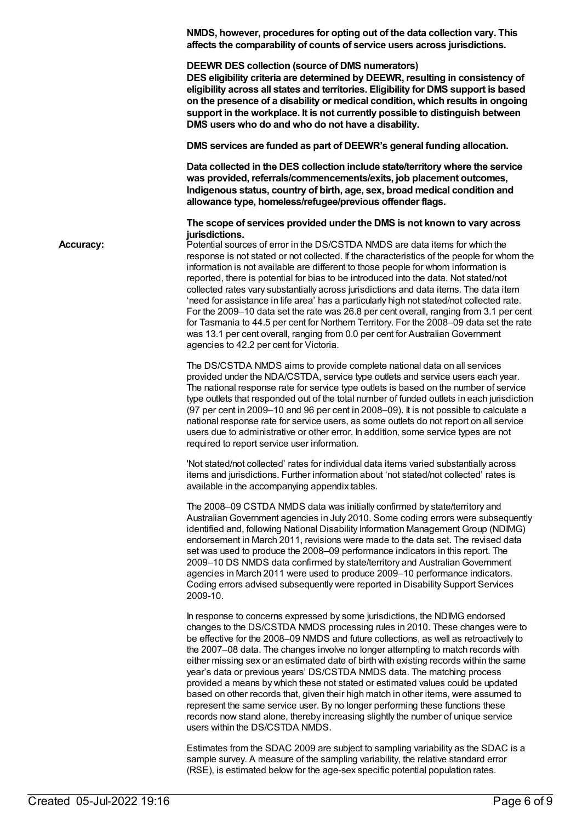**NMDS, however, procedures for opting out of the data collection vary. This affects the comparability of counts of service users across jurisdictions. DEEWR DES collection (source of DMS numerators) DES eligibility criteria are determined by DEEWR, resulting in consistency of eligibility across all states and territories. Eligibility for DMS support is based on the presence of a disability or medical condition, which results in ongoing support in the workplace. It is not currently possible to distinguish between DMS users who do and who do not have a disability. DMS services are funded as part of DEEWR's general funding allocation. Data collected in the DES collection include state/territory where the service was provided, referrals/commencements/exits, job placement outcomes, Indigenous status, country of birth, age, sex, broad medical condition and allowance type, homeless/refugee/previous offender flags. The scope of services provided under the DMS is not known to vary across jurisdictions. Accuracy:** Potential sources of error in the DS/CSTDA NMDS are data items for which the response is not stated or not collected. If the characteristics of the people for whom the information is not available are different to those people for whom information is reported, there is potential for bias to be introduced into the data. Not stated/not collected rates vary substantially across jurisdictions and data items. The data item 'need for assistance in life area' has a particularly high not stated/not collected rate. For the 2009–10 data set the rate was 26.8 per cent overall, ranging from 3.1 per cent for Tasmania to 44.5 per cent for Northern Territory. For the 2008–09 data set the rate was 13.1 per cent overall, ranging from 0.0 per cent for AustralianGovernment agencies to 42.2 per cent for Victoria. The DS/CSTDA NMDS aims to provide complete national data on all services provided under the NDA/CSTDA, service type outlets and service users each year. The national response rate for service type outlets is based on the number of service type outlets that responded out of the total number of funded outlets in each jurisdiction (97 per cent in 2009–10 and 96 per cent in 2008–09). It is not possible to calculate a national response rate for service users, as some outlets do not report on all service users due to administrative or other error. In addition, some service types are not required to report service user information. 'Not stated/not collected' rates for individual data items varied substantially across items and jurisdictions. Further information about 'not stated/not collected' rates is available in the accompanying appendix tables. The 2008–09 CSTDA NMDS data was initially confirmed by state/territory and AustralianGovernment agencies in July 2010. Some coding errors were subsequently identified and, following National Disability Information Management Group (NDIMG) endorsement in March 2011, revisions were made to the data set. The revised data set was used to produce the 2008–09 performance indicators in this report. The 2009–10 DS NMDS data confirmed by state/territory and AustralianGovernment agencies in March 2011 were used to produce 2009–10 performance indicators. Coding errors advised subsequently were reported in Disability Support Services 2009-10. In response to concerns expressed by some jurisdictions, the NDIMG endorsed changes to the DS/CSTDA NMDS processing rules in 2010. These changes were to be effective for the 2008–09 NMDS and future collections, as well as retroactively to the 2007–08 data. The changes involve no longer attempting to match records with either missing sex or an estimated date of birth with existing records within the same year's data or previous years' DS/CSTDA NMDS data. The matching process provided a means by which these not stated or estimated values could be updated based on other records that, given their high match in other items, were assumed to represent the same service user. By no longer performing these functions these records now stand alone, thereby increasing slightly the number of unique service users within the DS/CSTDA NMDS. Estimates from the SDAC 2009 are subject to sampling variability as the SDAC is a sample survey. A measure of the sampling variability, the relative standard error

(RSE), is estimated below for the age-sex specific potential population rates.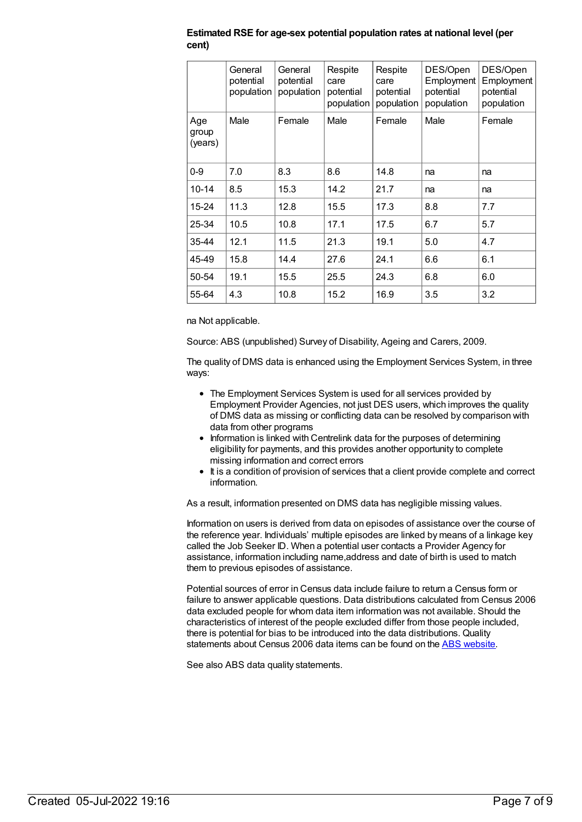|                         | General<br>potential<br>population | General<br>potential<br>population | Respite<br>care<br>potential<br>population | Respite<br>care<br>potential<br>population | DES/Open<br>Employment<br>potential<br>population | DES/Open<br>Employment<br>potential<br>population |
|-------------------------|------------------------------------|------------------------------------|--------------------------------------------|--------------------------------------------|---------------------------------------------------|---------------------------------------------------|
| Age<br>group<br>(years) | Male                               | Female                             | Male                                       | Female                                     | Male                                              | Female                                            |
| $0-9$                   | 7.0                                | 8.3                                | 8.6                                        | 14.8                                       | na                                                | na                                                |
| $10 - 14$               | 8.5                                | 15.3                               | 14.2                                       | 21.7                                       | na                                                | na                                                |
| 15-24                   | 11.3                               | 12.8                               | 15.5                                       | 17.3                                       | 8.8                                               | 7.7                                               |
| 25-34                   | 10.5                               | 10.8                               | 17.1                                       | 17.5                                       | 6.7                                               | 5.7                                               |
| 35-44                   | 12.1                               | 11.5                               | 21.3                                       | 19.1                                       | 5.0                                               | 4.7                                               |
| 45-49                   | 15.8                               | 14.4                               | 27.6                                       | 24.1                                       | 6.6                                               | 6.1                                               |
| 50-54                   | 19.1                               | 15.5                               | 25.5                                       | 24.3                                       | 6.8                                               | 6.0                                               |
| 55-64                   | 4.3                                | 10.8                               | 15.2                                       | 16.9                                       | 3.5                                               | 3.2                                               |

**Estimated RSE for age-sex potential population rates at national level (per cent)**

na Not applicable.

Source: ABS (unpublished) Survey of Disability, Ageing and Carers, 2009.

The quality of DMS data is enhanced using the Employment Services System, in three ways:

- The Employment Services System is used for all services provided by Employment Provider Agencies, not just DES users, which improves the quality of DMS data as missing or conflicting data can be resolved by comparison with data from other programs
- Information is linked with Centrelink data for the purposes of determining eligibility for payments, and this provides another opportunity to complete missing information and correct errors
- It is a condition of provision of services that a client provide complete and correct information.

As a result, information presented on DMS data has negligible missing values.

Information on users is derived from data on episodes of assistance over the course of the reference year. Individuals' multiple episodes are linked by means of a linkage key called the Job Seeker ID. When a potential user contacts a Provider Agency for assistance, information including name,address and date of birth is used to match them to previous episodes of assistance.

Potential sources of error in Census data include failure to return a Census form or failure to answer applicable questions. Data distributions calculated from Census 2006 data excluded people for whom data item information was not available. Should the characteristics of interest of the people excluded differ from those people included, there is potential for bias to be introduced into the data distributions. Quality statements about Census 2006 data items can be found on the ABS [website](http://www.abs.gov.au/websitedbs/D3310114.nsf/home/Census+Data+Quality).

See also ABS data quality statements.